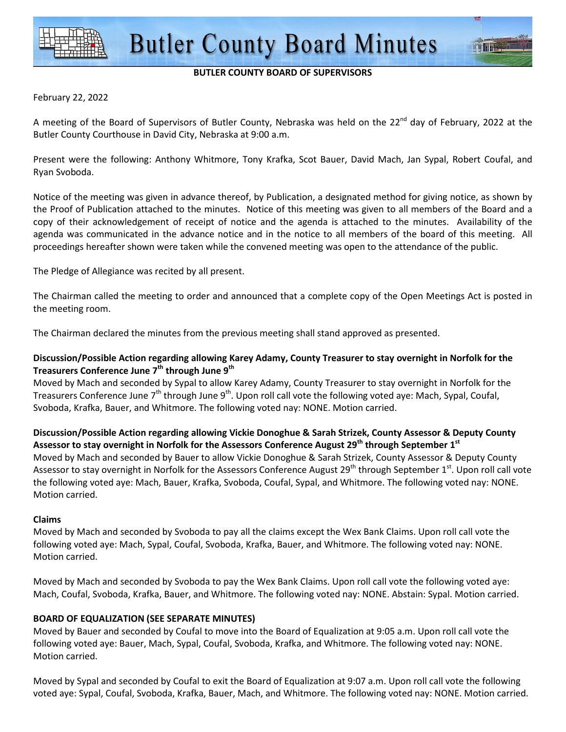### **BUTLER COUNTY BOARD OF SUPERVISORS**

#### February 22, 2022

A meeting of the Board of Supervisors of Butler County, Nebraska was held on the 22<sup>nd</sup> day of February, 2022 at the Butler County Courthouse in David City, Nebraska at 9:00 a.m.

Present were the following: Anthony Whitmore, Tony Krafka, Scot Bauer, David Mach, Jan Sypal, Robert Coufal, and Ryan Svoboda.

Notice of the meeting was given in advance thereof, by Publication, a designated method for giving notice, as shown by the Proof of Publication attached to the minutes. Notice of this meeting was given to all members of the Board and a copy of their acknowledgement of receipt of notice and the agenda is attached to the minutes. Availability of the agenda was communicated in the advance notice and in the notice to all members of the board of this meeting. All proceedings hereafter shown were taken while the convened meeting was open to the attendance of the public.

The Pledge of Allegiance was recited by all present.

The Chairman called the meeting to order and announced that a complete copy of the Open Meetings Act is posted in the meeting room.

The Chairman declared the minutes from the previous meeting shall stand approved as presented.

## **Discussion/Possible Action regarding allowing Karey Adamy, County Treasurer to stay overnight in Norfolk for the Treasurers Conference June 7th through June 9th**

Moved by Mach and seconded by Sypal to allow Karey Adamy, County Treasurer to stay overnight in Norfolk for the Treasurers Conference June 7<sup>th</sup> through June 9<sup>th</sup>. Upon roll call vote the following voted aye: Mach, Sypal, Coufal, Svoboda, Krafka, Bauer, and Whitmore. The following voted nay: NONE. Motion carried.

# **Discussion/Possible Action regarding allowing Vickie Donoghue & Sarah Strizek, County Assessor & Deputy County Assessor to stay overnight in Norfolk for the Assessors Conference August 29th through September 1st**

Moved by Mach and seconded by Bauer to allow Vickie Donoghue & Sarah Strizek, County Assessor & Deputy County Assessor to stay overnight in Norfolk for the Assessors Conference August 29<sup>th</sup> through September 1<sup>st</sup>. Upon roll call vote the following voted aye: Mach, Bauer, Krafka, Svoboda, Coufal, Sypal, and Whitmore. The following voted nay: NONE. Motion carried.

### **Claims**

Moved by Mach and seconded by Svoboda to pay all the claims except the Wex Bank Claims. Upon roll call vote the following voted aye: Mach, Sypal, Coufal, Svoboda, Krafka, Bauer, and Whitmore. The following voted nay: NONE. Motion carried.

Moved by Mach and seconded by Svoboda to pay the Wex Bank Claims. Upon roll call vote the following voted aye: Mach, Coufal, Svoboda, Krafka, Bauer, and Whitmore. The following voted nay: NONE. Abstain: Sypal. Motion carried.

### **BOARD OF EQUALIZATION (SEE SEPARATE MINUTES)**

Moved by Bauer and seconded by Coufal to move into the Board of Equalization at 9:05 a.m. Upon roll call vote the following voted aye: Bauer, Mach, Sypal, Coufal, Svoboda, Krafka, and Whitmore. The following voted nay: NONE. Motion carried.

Moved by Sypal and seconded by Coufal to exit the Board of Equalization at 9:07 a.m. Upon roll call vote the following voted aye: Sypal, Coufal, Svoboda, Krafka, Bauer, Mach, and Whitmore. The following voted nay: NONE. Motion carried.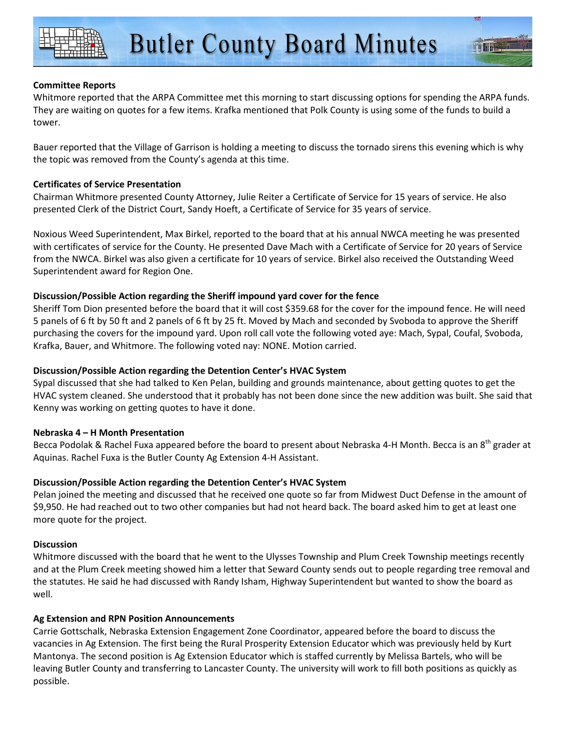## **Committee Reports**

Whitmore reported that the ARPA Committee met this morning to start discussing options for spending the ARPA funds. They are waiting on quotes for a few items. Krafka mentioned that Polk County is using some of the funds to build a tower.

Bauer reported that the Village of Garrison is holding a meeting to discuss the tornado sirens this evening which is why the topic was removed from the County's agenda at this time.

## **Certificates of Service Presentation**

Chairman Whitmore presented County Attorney, Julie Reiter a Certificate of Service for 15 years of service. He also presented Clerk of the District Court, Sandy Hoeft, a Certificate of Service for 35 years of service.

Noxious Weed Superintendent, Max Birkel, reported to the board that at his annual NWCA meeting he was presented with certificates of service for the County. He presented Dave Mach with a Certificate of Service for 20 years of Service from the NWCA. Birkel was also given a certificate for 10 years of service. Birkel also received the Outstanding Weed Superintendent award for Region One.

## **Discussion/Possible Action regarding the Sheriff impound yard cover for the fence**

Sheriff Tom Dion presented before the board that it will cost \$359.68 for the cover for the impound fence. He will need 5 panels of 6 ft by 50 ft and 2 panels of 6 ft by 25 ft. Moved by Mach and seconded by Svoboda to approve the Sheriff purchasing the covers for the impound yard. Upon roll call vote the following voted aye: Mach, Sypal, Coufal, Svoboda, Krafka, Bauer, and Whitmore. The following voted nay: NONE. Motion carried.

## **Discussion/Possible Action regarding the Detention Center's HVAC System**

Sypal discussed that she had talked to Ken Pelan, building and grounds maintenance, about getting quotes to get the HVAC system cleaned. She understood that it probably has not been done since the new addition was built. She said that Kenny was working on getting quotes to have it done.

### **Nebraska 4 – H Month Presentation**

Becca Podolak & Rachel Fuxa appeared before the board to present about Nebraska 4-H Month. Becca is an 8<sup>th</sup> grader at Aquinas. Rachel Fuxa is the Butler County Ag Extension 4-H Assistant.

### **Discussion/Possible Action regarding the Detention Center's HVAC System**

Pelan joined the meeting and discussed that he received one quote so far from Midwest Duct Defense in the amount of \$9,950. He had reached out to two other companies but had not heard back. The board asked him to get at least one more quote for the project.

### **Discussion**

Whitmore discussed with the board that he went to the Ulysses Township and Plum Creek Township meetings recently and at the Plum Creek meeting showed him a letter that Seward County sends out to people regarding tree removal and the statutes. He said he had discussed with Randy Isham, Highway Superintendent but wanted to show the board as well.

### **Ag Extension and RPN Position Announcements**

Carrie Gottschalk, Nebraska Extension Engagement Zone Coordinator, appeared before the board to discuss the vacancies in Ag Extension. The first being the Rural Prosperity Extension Educator which was previously held by Kurt Mantonya. The second position is Ag Extension Educator which is staffed currently by Melissa Bartels, who will be leaving Butler County and transferring to Lancaster County. The university will work to fill both positions as quickly as possible.